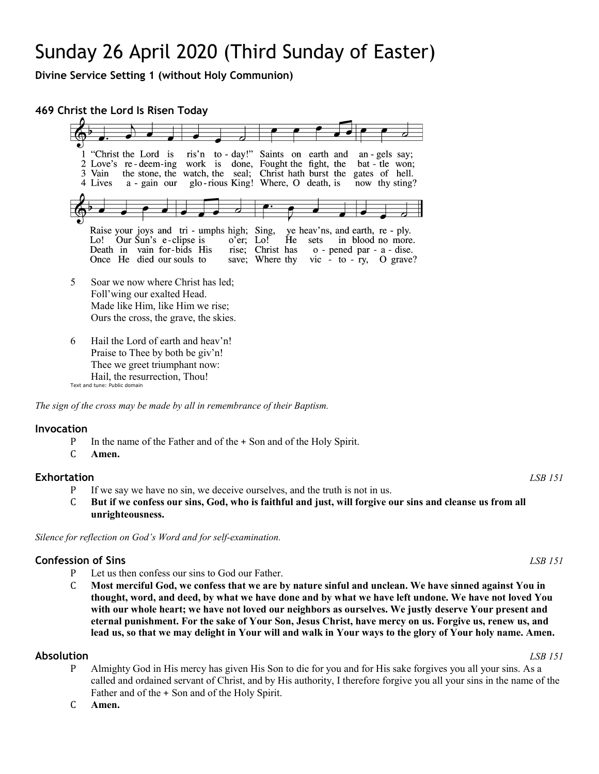# Sunday 26 April 2020 (Third Sunday of Easter)

**Divine Service Setting 1 (without Holy Communion)**

**469 Christ the Lord Is Risen Today**



Text and tune: Public domain

*The sign of the cross may be made by all in remembrance of their Baptism.*

### **Invocation**

- P In the name of the Father and of the + Son and of the Holy Spirit.<br>C Amen.
- Amen.

# **Exhortation** *LSB 151*

- P If we say we have no sin, we deceive ourselves, and the truth is not in us.<br>C But if we confess our sins. God, who is faithful and just, will forgive on
- But if we confess our sins, God, who is faithful and just, will forgive our sins and cleanse us from all **unrighteousness.**

*Silence for reflection on God's Word and for self-examination.*

# **Confession of Sins** *LSB 151*

- P Let us then confess our sins to God our Father.<br>C Most merciful God, we confess that we are b
- C **Most merciful God, we confess that we are by nature sinful and unclean. We have sinned against You in thought, word, and deed, by what we have done and by what we have left undone. We have not loved You with our whole heart; we have not loved our neighbors as ourselves. We justly deserve Your present and eternal punishment. For the sake of Your Son, Jesus Christ, have mercy on us. Forgive us, renew us, and lead us, so that we may delight in Your will and walk in Your ways to the glory of Your holy name. Amen.**

# **Absolution** *LSB 151*

- P Almighty God in His mercy has given His Son to die for you and for His sake forgives you all your sins. As a called and ordained servant of Christ, and by His authority, I therefore forgive you all your sins in the name of the Father and of the + Son and of the Holy Spirit.
- C **Amen.**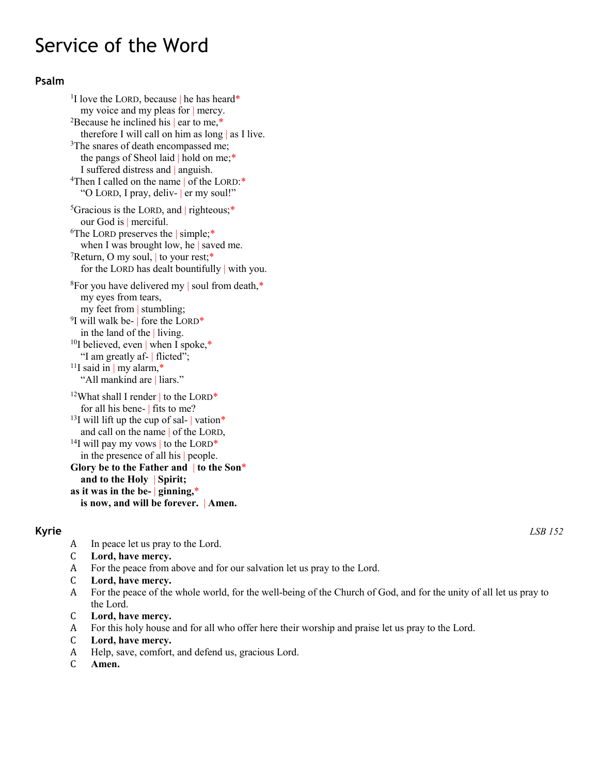# Service of the Word

# **Psalm**

<sup>1</sup>I love the LORD, because  $\vert$  he has heard\* my voice and my pleas for | mercy. <sup>2</sup>Because he inclined his  $|$  ear to me,<sup>\*</sup> therefore I will call on him as long | as I live. <sup>3</sup>The snares of death encompassed me; the pangs of Sheol laid | hold on me;\* I suffered distress and | anguish. <sup>4</sup>Then I called on the name of the LORD:\* "O LORD, I pray, deliv- | er my soul!" <sup>5</sup>Gracious is the LORD, and | righteous;\* our God is | merciful. <sup>6</sup>The LORD preserves the | simple;\* when I was brought low, he | saved me.  $7$ Return, O my soul, to your rest;\* for the LORD has dealt bountifully | with you. 8For you have delivered my | soul from death,\* my eyes from tears, my feet from | stumbling;  $9$ I will walk be- | fore the LORD\* in the land of the | living. <sup>10</sup>I believed, even | when I spoke,\* "I am greatly af- | flicted";  $11$ I said in | my alarm,\* "All mankind are | liars." <sup>12</sup>What shall I render to the LORD\* for all his bene- | fits to me? <sup>13</sup>I will lift up the cup of sal-  $\vert$  vation\* and call on the name | of the LORD, <sup>14</sup>I will pay my vows to the LORD<sup>\*</sup> in the presence of all his | people. **Glory be to the Father and** | **to the Son**\* **and to the Holy** | **Spirit; as it was in the be-** | **ginning,**\* **is now, and will be forever.** | **Amen.**

- A In peace let us pray to the Lord.<br>C Lord, have mercy.
- C **Lord, have mercy.**
- A For the peace from above and for our salvation let us pray to the Lord.<br>C Lord. have mercy.
- C **Lord, have mercy.**
- For the peace of the whole world, for the well-being of the Church of God, and for the unity of all let us pray to the Lord.
- C **Lord, have mercy.**
- A For this holy house and for all who offer here their worship and praise let us pray to the Lord.<br>C Lord. have mercy.
- C **Lord, have mercy.**
- A Help, save, comfort, and defend us, gracious Lord.<br>C Amen.
- Amen.

**Kyrie** *LSB 152*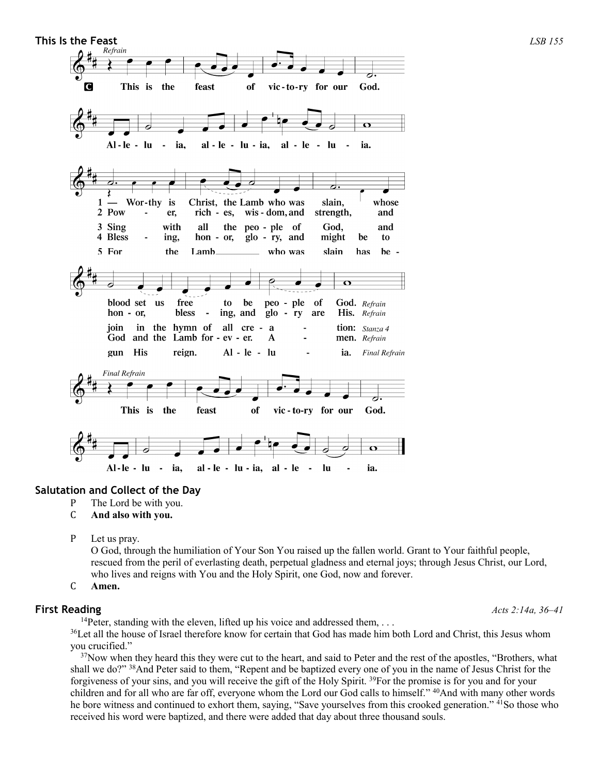

# **Salutation and Collect of the Day**

- P The Lord be with you.<br>C **And also with you.**
- C **And also with you.**
- P Let us pray.

O God, through the humiliation of Your Son You raised up the fallen world. Grant to Your faithful people, rescued from the peril of everlasting death, perpetual gladness and eternal joys; through Jesus Christ, our Lord, who lives and reigns with You and the Holy Spirit, one God, now and forever.

C **Amen.**

# **First Reading** *Acts 2:14a, 36–41*

<sup>14</sup>Peter, standing with the eleven, lifted up his voice and addressed them,  $\dots$ 

<sup>36</sup>Let all the house of Israel therefore know for certain that God has made him both Lord and Christ, this Jesus whom you crucified."

<sup>37</sup>Now when they heard this they were cut to the heart, and said to Peter and the rest of the apostles, "Brothers, what shall we do?" 38And Peter said to them, "Repent and be baptized every one of you in the name of Jesus Christ for the forgiveness of your sins, and you will receive the gift of the Holy Spirit. 39For the promise is for you and for your children and for all who are far off, everyone whom the Lord our God calls to himself." <sup>40</sup>And with many other words he bore witness and continued to exhort them, saying, "Save yourselves from this crooked generation." <sup>41</sup>So those who received his word were baptized, and there were added that day about three thousand souls.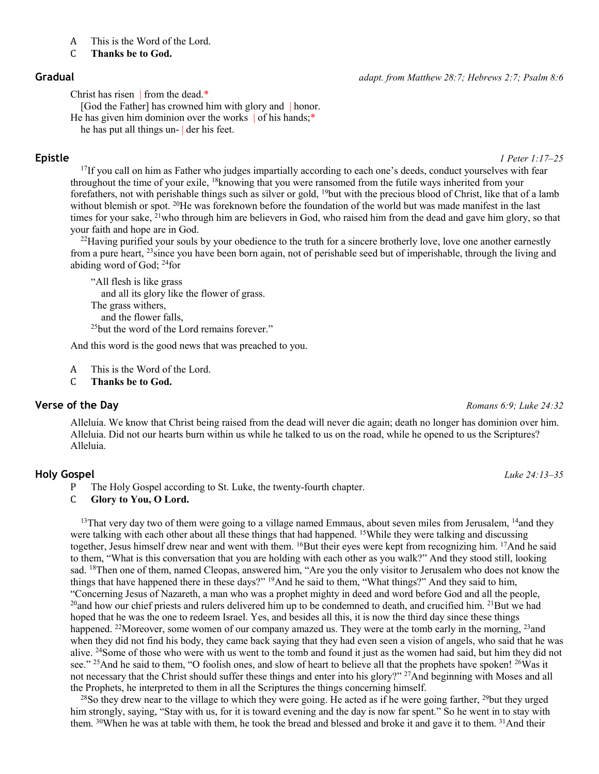- A This is the Word of the Lord.<br>C Thanks be to God.
- C **Thanks be to God.**

Christ has risen | from the dead.\*

[God the Father] has crowned him with glory and | honor. He has given him dominion over the works of his hands;\*

he has put all things un- | der his feet.

**Epistle** *1 Peter 1:17–25*

 $17$ If you call on him as Father who judges impartially according to each one's deeds, conduct yourselves with fear throughout the time of your exile, 18knowing that you were ransomed from the futile ways inherited from your forefathers, not with perishable things such as silver or gold, 19but with the precious blood of Christ, like that of a lamb without blemish or spot. <sup>20</sup>He was foreknown before the foundation of the world but was made manifest in the last times for your sake,  $^{21}$ who through him are believers in God, who raised him from the dead and gave him glory, so that your faith and hope are in God.

<sup>22</sup>Having purified your souls by your obedience to the truth for a sincere brotherly love, love one another earnestly from a pure heart, 23since you have been born again, not of perishable seed but of imperishable, through the living and abiding word of God; 24for

"All flesh is like grass and all its glory like the flower of grass. The grass withers, and the flower falls, 25but the word of the Lord remains forever."

And this word is the good news that was preached to you.

A This is the Word of the Lord.<br>C Thanks be to God.

Thanks be to God.

### **Verse of the Day** *Romans 6:9; Luke 24:32*

Alleluia. We know that Christ being raised from the dead will never die again; death no longer has dominion over him. Alleluia. Did not our hearts burn within us while he talked to us on the road, while he opened to us the Scriptures? Alleluia.

# **Holy Gospel** *Luke 24:13–35*

P The Holy Gospel according to St. Luke, the twenty-fourth chapter.<br>C Glory to You, O Lord.

Glory to You, O Lord.

<sup>13</sup>That very day two of them were going to a village named Emmaus, about seven miles from Jerusalem,  $14$ and they were talking with each other about all these things that had happened. 15While they were talking and discussing together, Jesus himself drew near and went with them. <sup>16</sup>But their eyes were kept from recognizing him. <sup>17</sup>And he said to them, "What is this conversation that you are holding with each other as you walk?" And they stood still, looking sad. <sup>18</sup>Then one of them, named Cleopas, answered him, "Are you the only visitor to Jerusalem who does not know the things that have happened there in these days?" 19And he said to them, "What things?" And they said to him, "Concerning Jesus of Nazareth, a man who was a prophet mighty in deed and word before God and all the people, <sup>20</sup>and how our chief priests and rulers delivered him up to be condemned to death, and crucified him. <sup>21</sup>But we had hoped that he was the one to redeem Israel. Yes, and besides all this, it is now the third day since these things happened. <sup>22</sup>Moreover, some women of our company amazed us. They were at the tomb early in the morning, <sup>23</sup> and when they did not find his body, they came back saying that they had even seen a vision of angels, who said that he was alive. 24Some of those who were with us went to the tomb and found it just as the women had said, but him they did not see." <sup>25</sup>And he said to them, "O foolish ones, and slow of heart to believe all that the prophets have spoken! <sup>26</sup>Was it not necessary that the Christ should suffer these things and enter into his glory?" <sup>27</sup>And beginning with Moses and all the Prophets, he interpreted to them in all the Scriptures the things concerning himself.

<sup>28</sup>So they drew near to the village to which they were going. He acted as if he were going farther, <sup>29</sup>but they urged him strongly, saying, "Stay with us, for it is toward evening and the day is now far spent." So he went in to stay with them. <sup>30</sup>When he was at table with them, he took the bread and blessed and broke it and gave it to them. <sup>31</sup>And their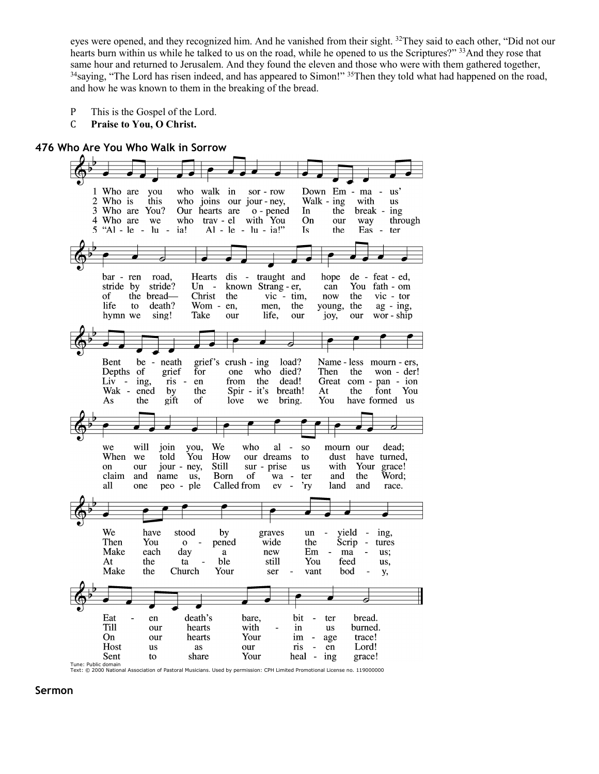eyes were opened, and they recognized him. And he vanished from their sight. 32They said to each other, "Did not our hearts burn within us while he talked to us on the road, while he opened to us the Scriptures?" <sup>33</sup>And they rose that same hour and returned to Jerusalem. And they found the eleven and those who were with them gathered together, <sup>34</sup>saying, "The Lord has risen indeed, and has appeared to Simon!" <sup>35</sup>Then they told what had happened on the road, and how he was known to them in the breaking of the bread.

- P This is the Gospel of the Lord.<br>C **Praise to You. O Christ.**
- Praise to You, O Christ.

## **476 Who Are You Who Walk in Sorrow**



**Sermon**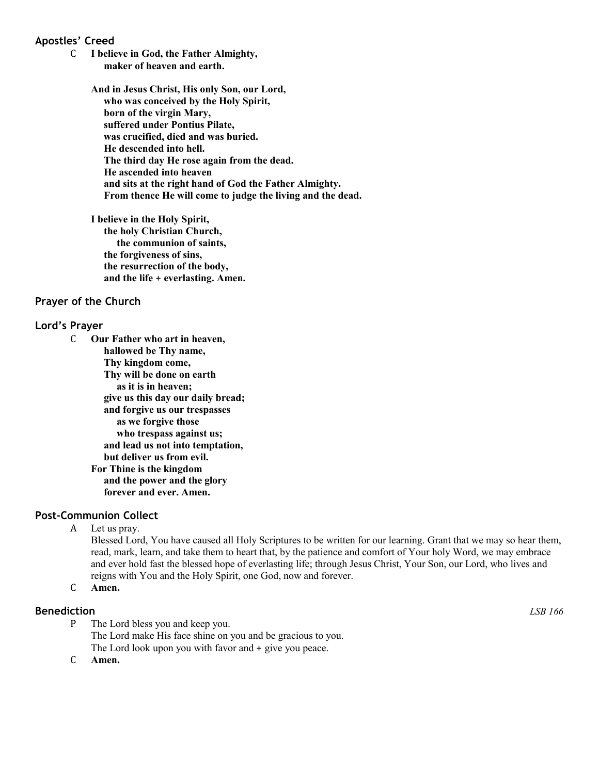# **Apostles' Creed**

C **I believe in God, the Father Almighty, maker of heaven and earth.**

> **And in Jesus Christ, His only Son, our Lord, who was conceived by the Holy Spirit, born of the virgin Mary, suffered under Pontius Pilate, was crucified, died and was buried. He descended into hell. The third day He rose again from the dead. He ascended into heaven and sits at the right hand of God the Father Almighty. From thence He will come to judge the living and the dead.**

**I believe in the Holy Spirit, the holy Christian Church, the communion of saints, the forgiveness of sins, the resurrection of the body, and the life** + **everlasting. Amen.**

### **Prayer of the Church**

### **Lord's Prayer**

C **Our Father who art in heaven, hallowed be Thy name, Thy kingdom come, Thy will be done on earth as it is in heaven; give us this day our daily bread; and forgive us our trespasses as we forgive those who trespass against us; and lead us not into temptation, but deliver us from evil. For Thine is the kingdom and the power and the glory forever and ever. Amen.**

### **Post-Communion Collect**

A Let us pray.

Blessed Lord, You have caused all Holy Scriptures to be written for our learning. Grant that we may so hear them, read, mark, learn, and take them to heart that, by the patience and comfort of Your holy Word, we may embrace and ever hold fast the blessed hope of everlasting life; through Jesus Christ, Your Son, our Lord, who lives and reigns with You and the Holy Spirit, one God, now and forever.

C **Amen.**

### **Benediction** *LSB 166*

- P The Lord bless you and keep you. The Lord make His face shine on you and be gracious to you. The Lord look upon you with favor and + give you peace.
- C **Amen.**